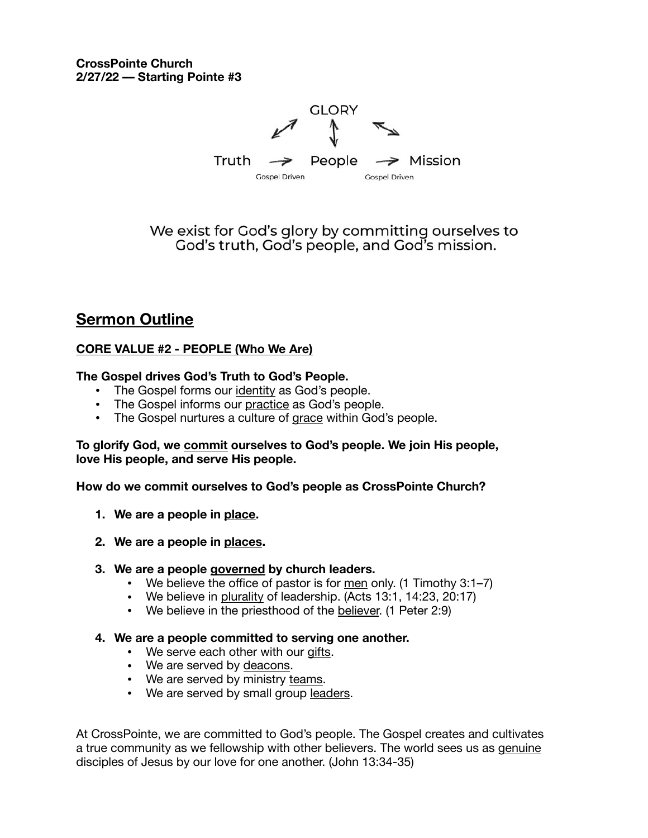

We exist for God's glory by committing ourselves to God's truth, God's people, and God's mission.

# **Sermon Outline**

## **CORE VALUE #2 - PEOPLE (Who We Are)**

## **The Gospel drives God's Truth to God's People.**

- **•** The Gospel forms our identity as God's people.
- **•** The Gospel informs our practice as God's people.
- **•** The Gospel nurtures a culture of grace within God's people.

#### **To glorify God, we commit ourselves to God's people. We join His people, love His people, and serve His people.**

**How do we commit ourselves to God's people as CrossPointe Church?** 

- **1. We are a people in place.**
- **2. We are a people in places.**

## **3. We are a people governed by church leaders.**

- We believe the office of pastor is for men only. (1 Timothy 3:1–7)
- We believe in plurality of leadership. (Acts 13:1, 14:23, 20:17)
- We believe in the priesthood of the believer. (1 Peter 2:9)

## **4. We are a people committed to serving one another.**

- We serve each other with our gifts.
- We are served by deacons.
- We are served by ministry teams.
- We are served by small group leaders.

At CrossPointe, we are committed to God's people. The Gospel creates and cultivates a true community as we fellowship with other believers. The world sees us as genuine disciples of Jesus by our love for one another. (John 13:34-35)